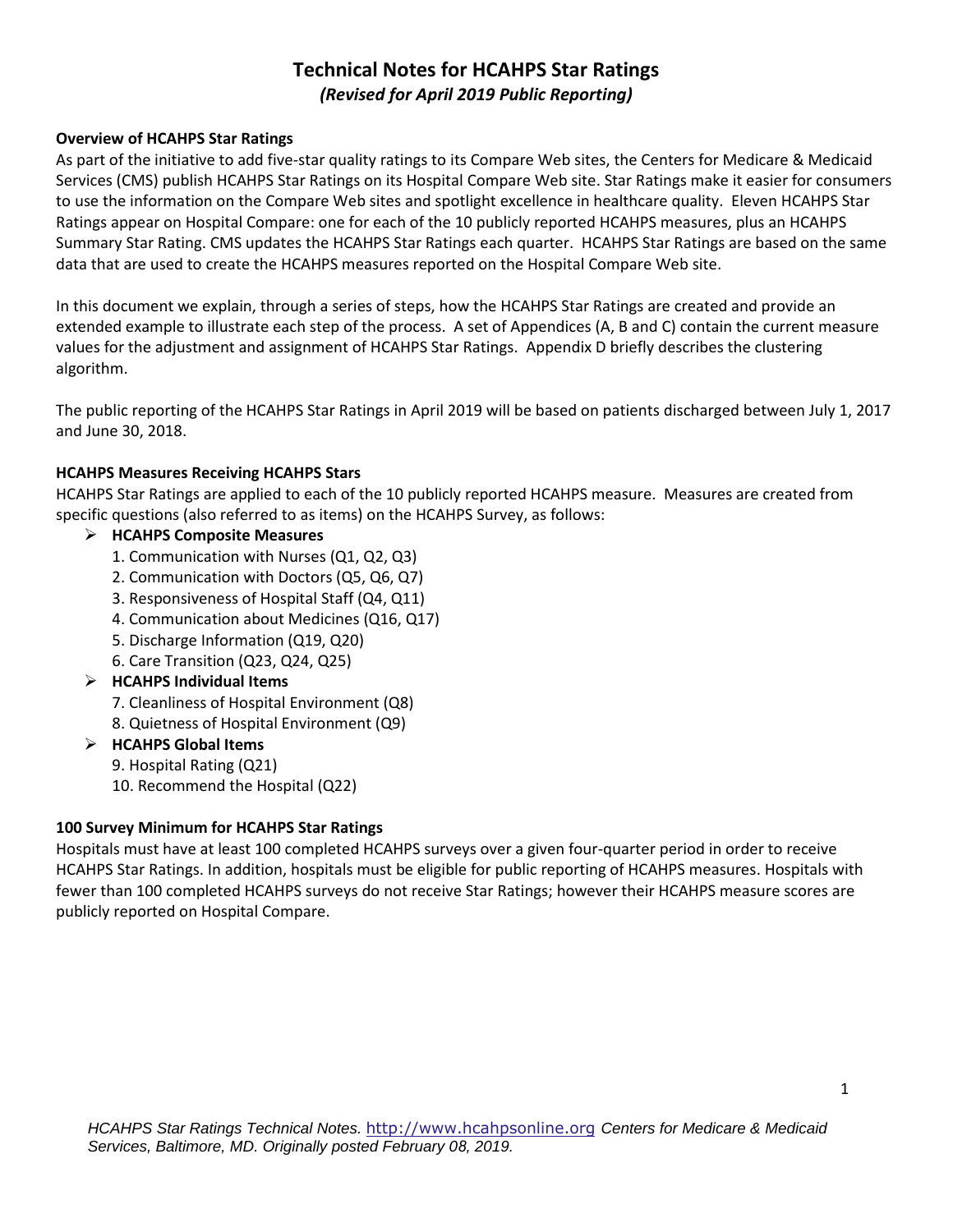# **Technical Notes for HCAHPS Star Ratings**  *(Revised for April 2019 Public Reporting)*

## **Overview of HCAHPS Star Ratings**

As part of the initiative to add five-star quality ratings to its Compare Web sites, the Centers for Medicare & Medicaid Services (CMS) publish HCAHPS Star Ratings on its Hospital Compare Web site. Star Ratings make it easier for consumers to use the information on the Compare Web sites and spotlight excellence in healthcare quality. Eleven HCAHPS Star Ratings appear on Hospital Compare: one for each of the 10 publicly reported HCAHPS measures, plus an HCAHPS Summary Star Rating. CMS updates the HCAHPS Star Ratings each quarter. HCAHPS Star Ratings are based on the same data that are used to create the HCAHPS measures reported on the Hospital Compare Web site.

In this document we explain, through a series of steps, how the HCAHPS Star Ratings are created and provide an extended example to illustrate each step of the process. A set of Appendices (A, B and C) contain the current measure values for the adjustment and assignment of HCAHPS Star Ratings. Appendix D briefly describes the clustering algorithm.

The public reporting of the HCAHPS Star Ratings in April 2019 will be based on patients discharged between July 1, 2017 and June 30, 2018.

## **HCAHPS Measures Receiving HCAHPS Stars**

HCAHPS Star Ratings are applied to each of the 10 publicly reported HCAHPS measure. Measures are created from specific questions (also referred to as items) on the HCAHPS Survey, as follows:

## **HCAHPS Composite Measures**

- 1. Communication with Nurses (Q1, Q2, Q3)
- 2. Communication with Doctors (Q5, Q6, Q7)
- 3. Responsiveness of Hospital Staff (Q4, Q11)
- 4. Communication about Medicines (Q16, Q17)
- 5. Discharge Information (Q19, Q20)
- 6. Care Transition (Q23, Q24, Q25)
- **HCAHPS Individual Items**
	- 7. Cleanliness of Hospital Environment (Q8)
	- 8. Quietness of Hospital Environment (Q9)
- **HCAHPS Global Items**
	- 9. Hospital Rating (Q21)
	- 10. Recommend the Hospital (Q22)

### **100 Survey Minimum for HCAHPS Star Ratings**

Hospitals must have at least 100 completed HCAHPS surveys over a given four-quarter period in order to receive HCAHPS Star Ratings. In addition, hospitals must be eligible for public reporting of HCAHPS measures. Hospitals with fewer than 100 completed HCAHPS surveys do not receive Star Ratings; however their HCAHPS measure scores are publicly reported on Hospital Compare.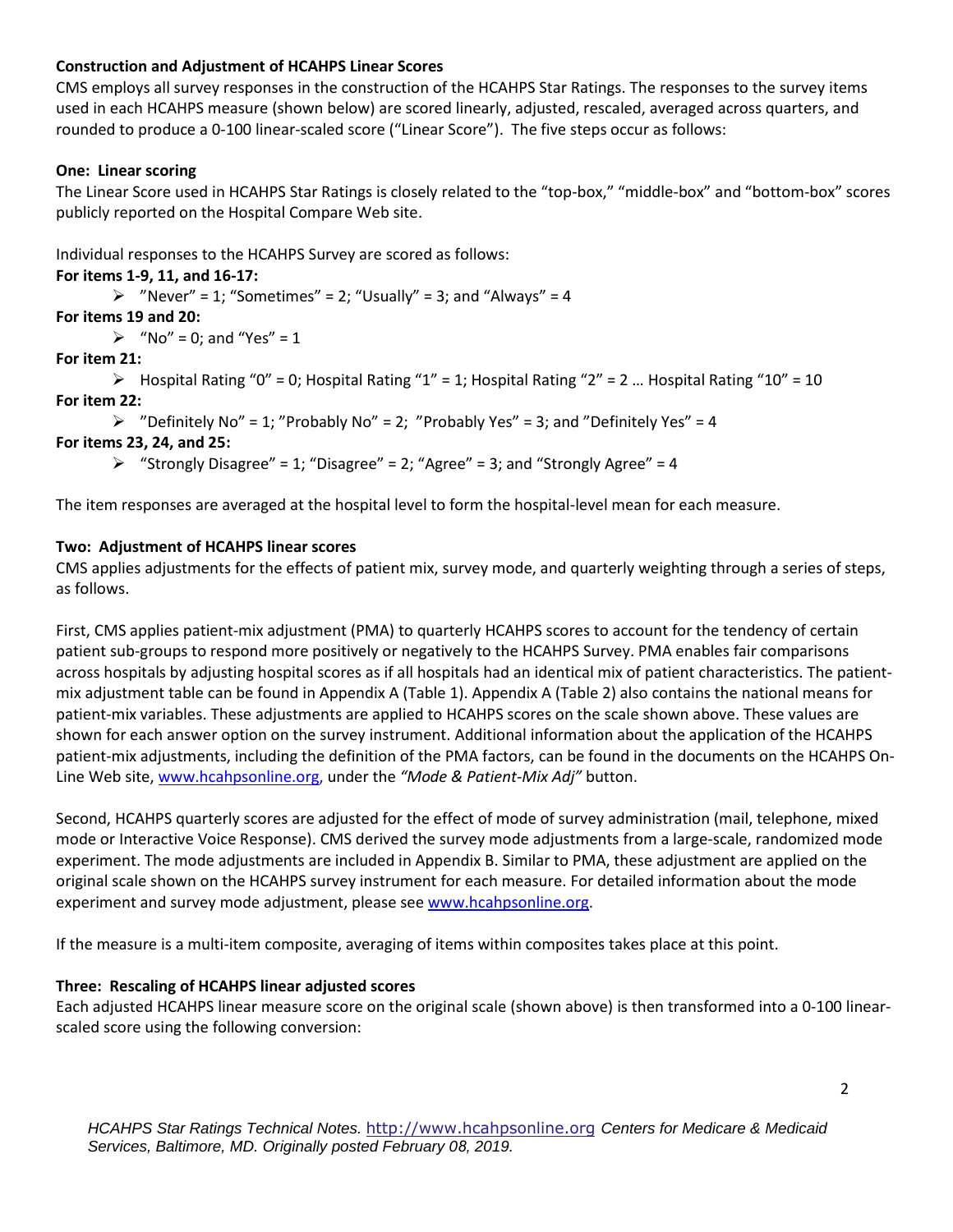## **Construction and Adjustment of HCAHPS Linear Scores**

CMS employs all survey responses in the construction of the HCAHPS Star Ratings. The responses to the survey items used in each HCAHPS measure (shown below) are scored linearly, adjusted, rescaled, averaged across quarters, and rounded to produce a 0-100 linear-scaled score ("Linear Score"). The five steps occur as follows:

## **One: Linear scoring**

The Linear Score used in HCAHPS Star Ratings is closely related to the "top-box," "middle-box" and "bottom-box" scores publicly reported on the Hospital Compare Web site.

Individual responses to the HCAHPS Survey are scored as follows:

## **For items 1-9, 11, and 16-17:**

 $\triangleright$  "Never" = 1; "Sometimes" = 2; "Usually" = 3; and "Always" = 4

## **For items 19 and 20:**

 $\triangleright$  "No" = 0; and "Yes" = 1

## **For item 21:**

 $\triangleright$  Hospital Rating "0" = 0; Hospital Rating "1" = 1; Hospital Rating "2" = 2 ... Hospital Rating "10" = 10 **For item 22:** 

 $\triangleright$  "Definitely No" = 1; "Probably No" = 2; "Probably Yes" = 3; and "Definitely Yes" = 4

## **For items 23, 24, and 25:**

 $\triangleright$  "Strongly Disagree" = 1; "Disagree" = 2; "Agree" = 3; and "Strongly Agree" = 4

The item responses are averaged at the hospital level to form the hospital-level mean for each measure.

## **Two: Adjustment of HCAHPS linear scores**

CMS applies adjustments for the effects of patient mix, survey mode, and quarterly weighting through a series of steps, as follows.

First, CMS applies patient-mix adjustment (PMA) to quarterly HCAHPS scores to account for the tendency of certain patient sub-groups to respond more positively or negatively to the HCAHPS Survey. PMA enables fair comparisons across hospitals by adjusting hospital scores as if all hospitals had an identical mix of patient characteristics. The patientmix adjustment table can be found in Appendix A (Table 1). Appendix A (Table 2) also contains the national means for patient-mix variables. These adjustments are applied to HCAHPS scores on the scale shown above. These values are shown for each answer option on the survey instrument. Additional information about the application of the HCAHPS patient-mix adjustments, including the definition of the PMA factors, can be found in the documents on the HCAHPS On-Line Web site[, www.hcahpsonline.org,](http://www.hcahpsonline.org/) under the *"Mode & Patient-Mix Adj"* button.

Second, HCAHPS quarterly scores are adjusted for the effect of mode of survey administration (mail, telephone, mixed mode or Interactive Voice Response). CMS derived the survey mode adjustments from a large-scale, randomized mode experiment. The mode adjustments are included in Appendix B. Similar to PMA, these adjustment are applied on the original scale shown on the HCAHPS survey instrument for each measure. For detailed information about the mode experiment and survey mode adjustment, please see [www.hcahpsonline.org.](http://www.hcahpsonline.org/)

If the measure is a multi-item composite, averaging of items within composites takes place at this point.

### **Three: Rescaling of HCAHPS linear adjusted scores**

Each adjusted HCAHPS linear measure score on the original scale (shown above) is then transformed into a 0-100 linearscaled score using the following conversion: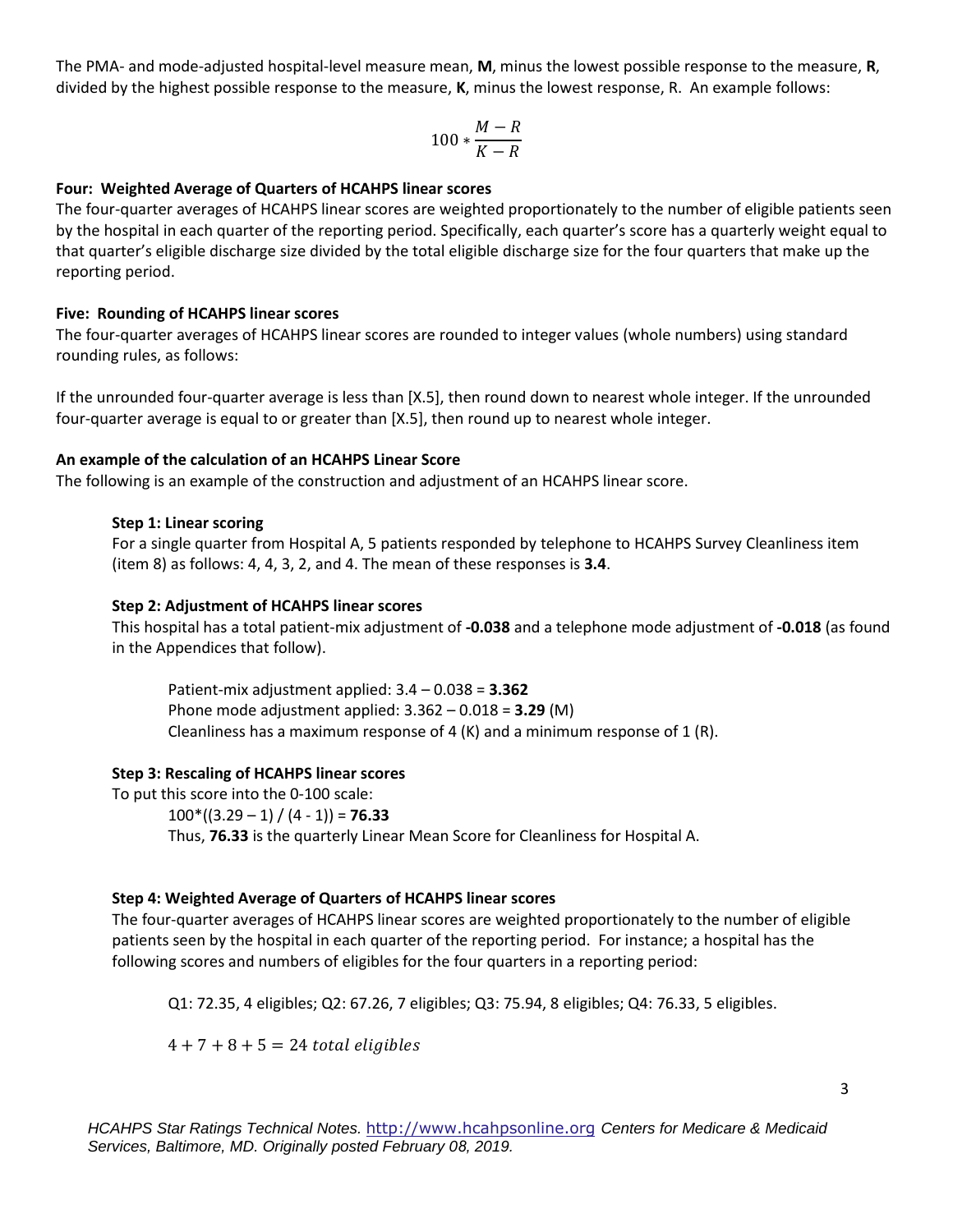The PMA- and mode-adjusted hospital-level measure mean, **M**, minus the lowest possible response to the measure, **R**, divided by the highest possible response to the measure, **K**, minus the lowest response, R. An example follows:

$$
100*\frac{M-R}{K-R}
$$

### **Four: Weighted Average of Quarters of HCAHPS linear scores**

The four-quarter averages of HCAHPS linear scores are weighted proportionately to the number of eligible patients seen by the hospital in each quarter of the reporting period. Specifically, each quarter's score has a quarterly weight equal to that quarter's eligible discharge size divided by the total eligible discharge size for the four quarters that make up the reporting period.

### **Five: Rounding of HCAHPS linear scores**

The four-quarter averages of HCAHPS linear scores are rounded to integer values (whole numbers) using standard rounding rules, as follows:

If the unrounded four-quarter average is less than [X.5], then round down to nearest whole integer. If the unrounded four-quarter average is equal to or greater than [X.5], then round up to nearest whole integer.

#### **An example of the calculation of an HCAHPS Linear Score**

The following is an example of the construction and adjustment of an HCAHPS linear score.

#### **Step 1: Linear scoring**

For a single quarter from Hospital A, 5 patients responded by telephone to HCAHPS Survey Cleanliness item (item 8) as follows: 4, 4, 3, 2, and 4. The mean of these responses is **3.4**.

#### **Step 2: Adjustment of HCAHPS linear scores**

This hospital has a total patient-mix adjustment of **-0.038** and a telephone mode adjustment of **-0.018** (as found in the Appendices that follow).

Patient-mix adjustment applied: 3.4 – 0.038 = **3.362**  Phone mode adjustment applied: 3.362 – 0.018 = **3.29** (M) Cleanliness has a maximum response of 4  $(K)$  and a minimum response of 1  $(R)$ .

## **Step 3: Rescaling of HCAHPS linear scores**

To put this score into the 0-100 scale:  $100*(3.29 - 1) / (4 - 1) = 76.33$ Thus, **76.33** is the quarterly Linear Mean Score for Cleanliness for Hospital A.

### **Step 4: Weighted Average of Quarters of HCAHPS linear scores**

The four-quarter averages of HCAHPS linear scores are weighted proportionately to the number of eligible patients seen by the hospital in each quarter of the reporting period. For instance; a hospital has the following scores and numbers of eligibles for the four quarters in a reporting period:

Q1: 72.35, 4 eligibles; Q2: 67.26, 7 eligibles; Q3: 75.94, 8 eligibles; Q4: 76.33, 5 eligibles.

 $4 + 7 + 8 + 5 = 24$  total eligibles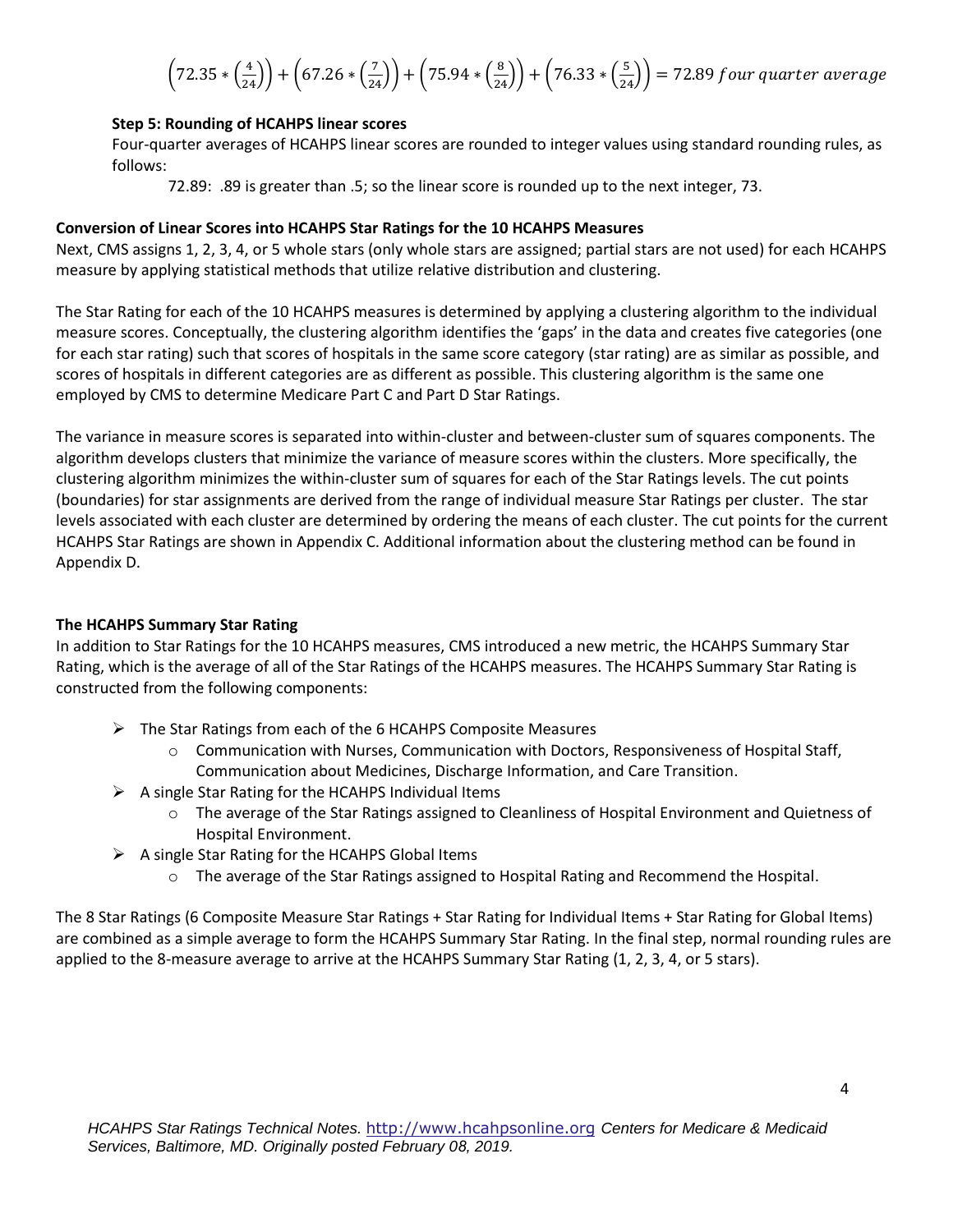$$
\left(72.35 * \left(\frac{4}{24}\right)\right) + \left(67.26 * \left(\frac{7}{24}\right)\right) + \left(75.94 * \left(\frac{8}{24}\right)\right) + \left(76.33 * \left(\frac{5}{24}\right)\right) = 72.89 \, \text{four quarter average}
$$

### **Step 5: Rounding of HCAHPS linear scores**

Four-quarter averages of HCAHPS linear scores are rounded to integer values using standard rounding rules, as follows:

72.89: .89 is greater than .5; so the linear score is rounded up to the next integer, 73.

#### **Conversion of Linear Scores into HCAHPS Star Ratings for the 10 HCAHPS Measures**

Next, CMS assigns 1, 2, 3, 4, or 5 whole stars (only whole stars are assigned; partial stars are not used) for each HCAHPS measure by applying statistical methods that utilize relative distribution and clustering.

The Star Rating for each of the 10 HCAHPS measures is determined by applying a clustering algorithm to the individual measure scores. Conceptually, the clustering algorithm identifies the 'gaps' in the data and creates five categories (one for each star rating) such that scores of hospitals in the same score category (star rating) are as similar as possible, and scores of hospitals in different categories are as different as possible. This clustering algorithm is the same one employed by CMS to determine Medicare Part C and Part D Star Ratings.

The variance in measure scores is separated into within-cluster and between-cluster sum of squares components. The algorithm develops clusters that minimize the variance of measure scores within the clusters. More specifically, the clustering algorithm minimizes the within-cluster sum of squares for each of the Star Ratings levels. The cut points (boundaries) for star assignments are derived from the range of individual measure Star Ratings per cluster. The star levels associated with each cluster are determined by ordering the means of each cluster. The cut points for the current HCAHPS Star Ratings are shown in Appendix C. Additional information about the clustering method can be found in Appendix D.

### **The HCAHPS Summary Star Rating**

In addition to Star Ratings for the 10 HCAHPS measures, CMS introduced a new metric, the HCAHPS Summary Star Rating, which is the average of all of the Star Ratings of the HCAHPS measures. The HCAHPS Summary Star Rating is constructed from the following components:

- $\triangleright$  The Star Ratings from each of the 6 HCAHPS Composite Measures
	- $\circ$  Communication with Nurses, Communication with Doctors, Responsiveness of Hospital Staff, Communication about Medicines, Discharge Information, and Care Transition.
- $\triangleright$  A single Star Rating for the HCAHPS Individual Items
	- o The average of the Star Ratings assigned to Cleanliness of Hospital Environment and Quietness of Hospital Environment.
- $\triangleright$  A single Star Rating for the HCAHPS Global Items
	- o The average of the Star Ratings assigned to Hospital Rating and Recommend the Hospital.

The 8 Star Ratings (6 Composite Measure Star Ratings + Star Rating for Individual Items + Star Rating for Global Items) are combined as a simple average to form the HCAHPS Summary Star Rating. In the final step, normal rounding rules are applied to the 8-measure average to arrive at the HCAHPS Summary Star Rating (1, 2, 3, 4, or 5 stars).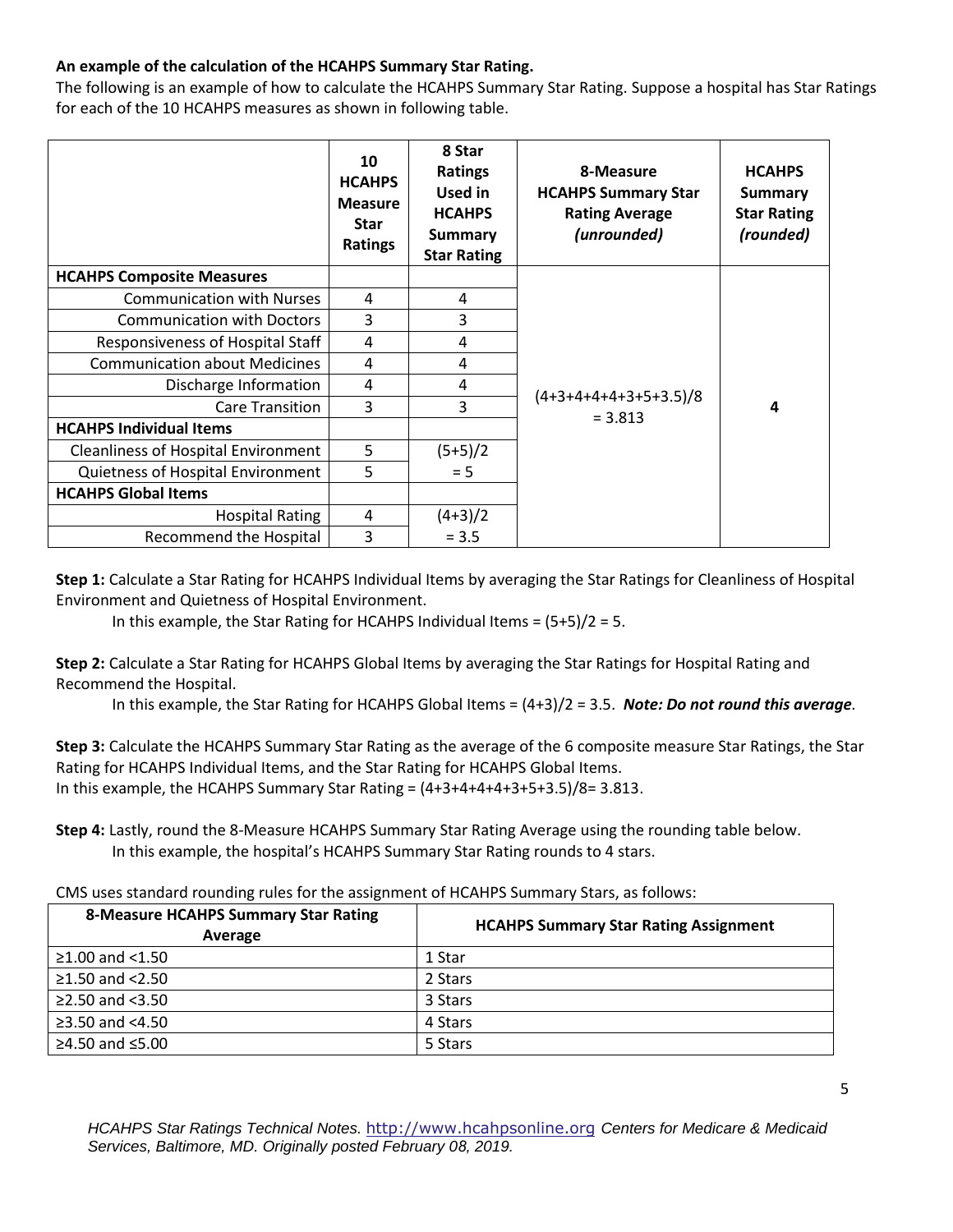## **An example of the calculation of the HCAHPS Summary Star Rating.**

The following is an example of how to calculate the HCAHPS Summary Star Rating. Suppose a hospital has Star Ratings for each of the 10 HCAHPS measures as shown in following table.

|                                            | 10<br><b>HCAHPS</b><br><b>Measure</b><br><b>Star</b><br>Ratings | 8 Star<br><b>Ratings</b><br>Used in<br><b>HCAHPS</b><br><b>Summary</b><br><b>Star Rating</b> | 8-Measure<br><b>HCAHPS Summary Star</b><br><b>Rating Average</b><br>(unrounded) | <b>HCAHPS</b><br><b>Summary</b><br><b>Star Rating</b><br>(rounded) |
|--------------------------------------------|-----------------------------------------------------------------|----------------------------------------------------------------------------------------------|---------------------------------------------------------------------------------|--------------------------------------------------------------------|
| <b>HCAHPS Composite Measures</b>           |                                                                 |                                                                                              |                                                                                 |                                                                    |
| <b>Communication with Nurses</b>           | 4                                                               | 4                                                                                            |                                                                                 |                                                                    |
| <b>Communication with Doctors</b>          | 3                                                               | 3                                                                                            |                                                                                 |                                                                    |
| Responsiveness of Hospital Staff           | 4                                                               | 4                                                                                            |                                                                                 |                                                                    |
| <b>Communication about Medicines</b>       | 4                                                               | 4                                                                                            |                                                                                 | 4                                                                  |
| Discharge Information                      | 4                                                               | 4                                                                                            |                                                                                 |                                                                    |
| <b>Care Transition</b>                     | 3                                                               | 3                                                                                            | $(4+3+4+4+4+3+5+3.5)/8$<br>$= 3.813$                                            |                                                                    |
| <b>HCAHPS Individual Items</b>             |                                                                 |                                                                                              |                                                                                 |                                                                    |
| <b>Cleanliness of Hospital Environment</b> | 5                                                               | $(5+5)/2$                                                                                    |                                                                                 |                                                                    |
| Quietness of Hospital Environment          | 5                                                               | $= 5$                                                                                        |                                                                                 |                                                                    |
| <b>HCAHPS Global Items</b>                 |                                                                 |                                                                                              |                                                                                 |                                                                    |
| <b>Hospital Rating</b>                     | 4                                                               | $(4+3)/2$                                                                                    |                                                                                 |                                                                    |
| Recommend the Hospital                     | 3                                                               | $= 3.5$                                                                                      |                                                                                 |                                                                    |

**Step 1:** Calculate a Star Rating for HCAHPS Individual Items by averaging the Star Ratings for Cleanliness of Hospital Environment and Quietness of Hospital Environment.

In this example, the Star Rating for HCAHPS Individual Items =  $(5+5)/2 = 5$ .

**Step 2:** Calculate a Star Rating for HCAHPS Global Items by averaging the Star Ratings for Hospital Rating and Recommend the Hospital.

In this example, the Star Rating for HCAHPS Global Items = (4+3)/2 = 3.5. *Note: Do not round this average.*

**Step 3:** Calculate the HCAHPS Summary Star Rating as the average of the 6 composite measure Star Ratings, the Star Rating for HCAHPS Individual Items, and the Star Rating for HCAHPS Global Items. In this example, the HCAHPS Summary Star Rating =  $(4+3+4+4+3+5+3.5)/8=3.813$ .

**Step 4:** Lastly, round the 8-Measure HCAHPS Summary Star Rating Average using the rounding table below. In this example, the hospital's HCAHPS Summary Star Rating rounds to 4 stars.

CMS uses standard rounding rules for the assignment of HCAHPS Summary Stars, as follows:

| <b>8-Measure HCAHPS Summary Star Rating</b><br>Average | <b>HCAHPS Summary Star Rating Assignment</b> |  |  |  |
|--------------------------------------------------------|----------------------------------------------|--|--|--|
| $≥1.00$ and <1.50                                      | 1 Star                                       |  |  |  |
| $≥1.50$ and $<2.50$                                    | 2 Stars                                      |  |  |  |
| $≥2.50$ and $< 3.50$                                   | 3 Stars                                      |  |  |  |
| ≥3.50 and $<4.50$                                      | 4 Stars                                      |  |  |  |
| $≥4.50$ and ≤5.00                                      | 5 Stars                                      |  |  |  |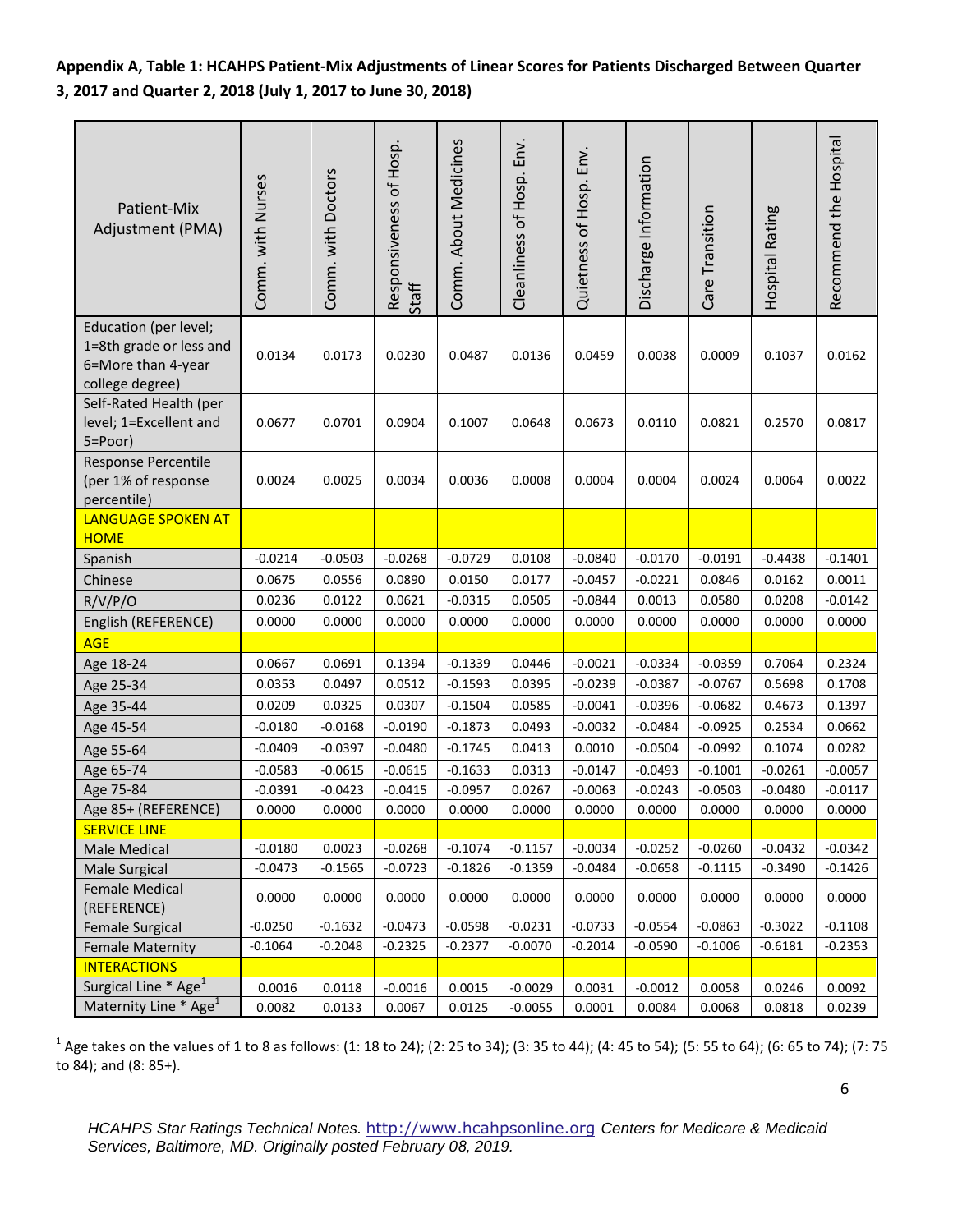**Appendix A, Table 1: HCAHPS Patient-Mix Adjustments of Linear Scores for Patients Discharged Between Quarter 3, 2017 and Quarter 2, 2018 (July 1, 2017 to June 30, 2018)**

| Patient-Mix<br>Adjustment (PMA)                                                           | Comm. with Nurses | Comm. with Doctors | Responsiveness of Hosp.<br>Staff | Comm. About Medicines | Env.<br>Cleanliness of Hosp. | Quietness of Hosp. Env. | Discharge Information | Care Transition | Hospital Rating | Recommend the Hospital |
|-------------------------------------------------------------------------------------------|-------------------|--------------------|----------------------------------|-----------------------|------------------------------|-------------------------|-----------------------|-----------------|-----------------|------------------------|
| Education (per level;<br>1=8th grade or less and<br>6=More than 4-year<br>college degree) | 0.0134            | 0.0173             | 0.0230                           | 0.0487                | 0.0136                       | 0.0459                  | 0.0038                | 0.0009          | 0.1037          | 0.0162                 |
| Self-Rated Health (per<br>level; 1=Excellent and<br>5=Poor)                               | 0.0677            | 0.0701             | 0.0904                           | 0.1007                | 0.0648                       | 0.0673                  | 0.0110                | 0.0821          | 0.2570          | 0.0817                 |
| Response Percentile<br>(per 1% of response<br>percentile)                                 | 0.0024            | 0.0025             | 0.0034                           | 0.0036                | 0.0008                       | 0.0004                  | 0.0004                | 0.0024          | 0.0064          | 0.0022                 |
| <b>LANGUAGE SPOKEN AT</b><br><b>HOME</b>                                                  |                   |                    |                                  |                       |                              |                         |                       |                 |                 |                        |
| Spanish                                                                                   | $-0.0214$         | $-0.0503$          | $-0.0268$                        | $-0.0729$             | 0.0108                       | $-0.0840$               | $-0.0170$             | $-0.0191$       | $-0.4438$       | $-0.1401$              |
| Chinese                                                                                   | 0.0675            | 0.0556             | 0.0890                           | 0.0150                | 0.0177                       | $-0.0457$               | $-0.0221$             | 0.0846          | 0.0162          | 0.0011                 |
| R/V/P/O                                                                                   | 0.0236            | 0.0122             | 0.0621                           | $-0.0315$             | 0.0505                       | $-0.0844$               | 0.0013                | 0.0580          | 0.0208          | $-0.0142$              |
| English (REFERENCE)                                                                       | 0.0000            | 0.0000             | 0.0000                           | 0.0000                | 0.0000                       | 0.0000                  | 0.0000                | 0.0000          | 0.0000          | 0.0000                 |
| <b>AGE</b>                                                                                |                   |                    |                                  |                       |                              |                         |                       |                 |                 |                        |
| Age 18-24                                                                                 | 0.0667            | 0.0691             | 0.1394                           | $-0.1339$             | 0.0446                       | $-0.0021$               | $-0.0334$             | $-0.0359$       | 0.7064          | 0.2324                 |
| Age 25-34                                                                                 | 0.0353            | 0.0497             | 0.0512                           | $-0.1593$             | 0.0395                       | $-0.0239$               | $-0.0387$             | $-0.0767$       | 0.5698          | 0.1708                 |
| Age 35-44                                                                                 | 0.0209            | 0.0325             | 0.0307                           | $-0.1504$             | 0.0585                       | $-0.0041$               | $-0.0396$             | $-0.0682$       | 0.4673          | 0.1397                 |
| Age 45-54                                                                                 | $-0.0180$         | $-0.0168$          | $-0.0190$                        | $-0.1873$             | 0.0493                       | $-0.0032$               | $-0.0484$             | $-0.0925$       | 0.2534          | 0.0662                 |
| Age 55-64                                                                                 | $-0.0409$         | $-0.0397$          | $-0.0480$                        | $-0.1745$             | 0.0413                       | 0.0010                  | $-0.0504$             | $-0.0992$       | 0.1074          | 0.0282                 |
| Age 65-74                                                                                 | $-0.0583$         | $-0.0615$          | $-0.0615$                        | $-0.1633$             | 0.0313                       | $-0.0147$               | $-0.0493$             | $-0.1001$       | $-0.0261$       | $-0.0057$              |
| Age 75-84                                                                                 | $-0.0391$         | $-0.0423$          | $-0.0415$                        | $-0.0957$             | 0.0267                       | $-0.0063$               | $-0.0243$             | $-0.0503$       | $-0.0480$       | $-0.0117$              |
| Age 85+ (REFERENCE)                                                                       | 0.0000            | 0.0000             | 0.0000                           | 0.0000                | 0.0000                       | 0.0000                  | 0.0000                | 0.0000          | 0.0000          | 0.0000                 |
| <b>SERVICE LINE</b>                                                                       |                   |                    |                                  |                       |                              |                         |                       |                 |                 |                        |
| <b>Male Medical</b>                                                                       | $-0.0180$         | 0.0023             | $-0.0268$                        | $-0.1074$             | $-0.1157$                    | $-0.0034$               | $-0.0252$             | $-0.0260$       | $-0.0432$       | $-0.0342$              |
| Male Surgical                                                                             | $-0.0473$         | $-0.1565$          | $-0.0723$                        | $-0.1826$             | $-0.1359$                    | $-0.0484$               | $-0.0658$             | $-0.1115$       | $-0.3490$       | $-0.1426$              |
| Female Medical<br>(REFERENCE)                                                             | 0.0000            | 0.0000             | 0.0000                           | 0.0000                | 0.0000                       | 0.0000                  | 0.0000                | 0.0000          | 0.0000          | 0.0000                 |
| <b>Female Surgical</b>                                                                    | $-0.0250$         | $-0.1632$          | $-0.0473$                        | $-0.0598$             | $-0.0231$                    | $-0.0733$               | $-0.0554$             | $-0.0863$       | $-0.3022$       | $-0.1108$              |
| <b>Female Maternity</b>                                                                   | $-0.1064$         | $-0.2048$          | $-0.2325$                        | $-0.2377$             | $-0.0070$                    | $-0.2014$               | $-0.0590$             | $-0.1006$       | $-0.6181$       | $-0.2353$              |
| <b>INTERACTIONS</b>                                                                       |                   |                    |                                  |                       |                              |                         |                       |                 |                 |                        |
| Surgical Line * Age <sup>1</sup>                                                          | 0.0016            | 0.0118             | $-0.0016$                        | 0.0015                | $-0.0029$                    | 0.0031                  | $-0.0012$             | 0.0058          | 0.0246          | 0.0092                 |
| Maternity Line * Age <sup>1</sup>                                                         | 0.0082            | 0.0133             | 0.0067                           | 0.0125                | $-0.0055$                    | 0.0001                  | 0.0084                | 0.0068          | 0.0818          | 0.0239                 |

 $^1$  Age takes on the values of 1 to 8 as follows: (1: 18 to 24); (2: 25 to 34); (3: 35 to 44); (4: 45 to 54); (5: 55 to 64); (6: 65 to 74); (7: 75 to 84); and (8: 85+).

6

*HCAHPS Star Ratings Technical Notes.* [http://www.hcahpsonline.org](http://www.hcahpsonline.org/) *Centers for Medicare & Medicaid Services, Baltimore, MD. Originally posted February 08, 2019.*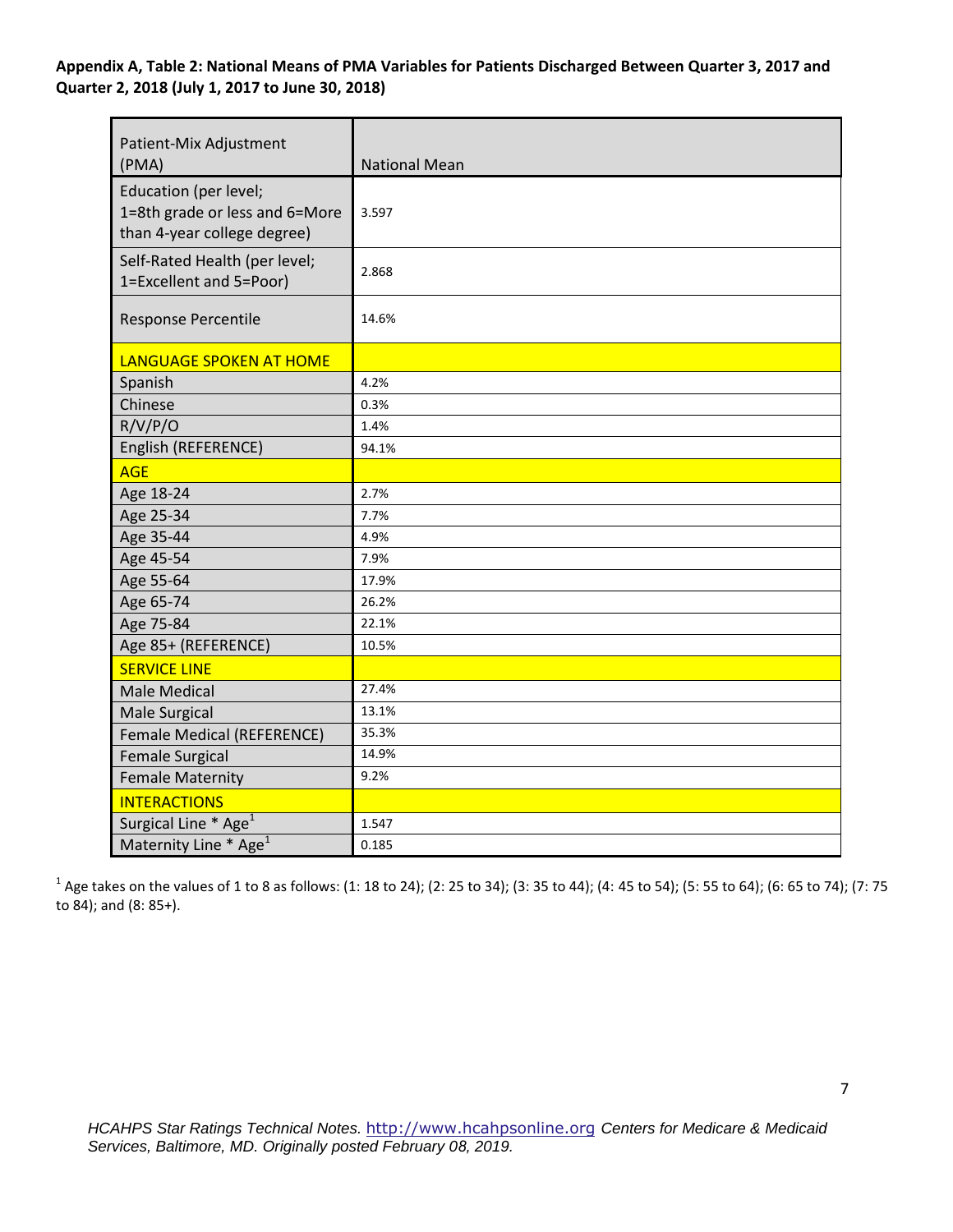## **Appendix A, Table 2: National Means of PMA Variables for Patients Discharged Between Quarter 3, 2017 and Quarter 2, 2018 (July 1, 2017 to June 30, 2018)**

| Patient-Mix Adjustment<br>(PMA)                                                        | <b>National Mean</b> |
|----------------------------------------------------------------------------------------|----------------------|
| Education (per level;<br>1=8th grade or less and 6=More<br>than 4-year college degree) | 3.597                |
| Self-Rated Health (per level;<br>1=Excellent and 5=Poor)                               | 2.868                |
| Response Percentile                                                                    | 14.6%                |
| LANGUAGE SPOKEN AT HOME                                                                |                      |
| Spanish                                                                                | 4.2%                 |
| Chinese                                                                                | 0.3%                 |
| R/V/P/O                                                                                | 1.4%                 |
| English (REFERENCE)                                                                    | 94.1%                |
| <b>AGE</b>                                                                             |                      |
| Age 18-24                                                                              | 2.7%                 |
| Age 25-34                                                                              | 7.7%                 |
| Age 35-44                                                                              | 4.9%                 |
| Age 45-54                                                                              | 7.9%                 |
| Age 55-64                                                                              | 17.9%                |
| Age 65-74                                                                              | 26.2%                |
| Age 75-84                                                                              | 22.1%                |
| Age 85+ (REFERENCE)                                                                    | 10.5%                |
| <b>SERVICE LINE</b>                                                                    |                      |
| <b>Male Medical</b>                                                                    | 27.4%                |
| <b>Male Surgical</b>                                                                   | 13.1%                |
| <b>Female Medical (REFERENCE)</b>                                                      | 35.3%                |
| <b>Female Surgical</b>                                                                 | 14.9%                |
| <b>Female Maternity</b>                                                                | 9.2%                 |
| <b>INTERACTIONS</b>                                                                    |                      |
| Surgical Line * Age <sup>1</sup>                                                       | 1.547                |
| Maternity Line * Age <sup>1</sup>                                                      | 0.185                |

 $^1$  Age takes on the values of 1 to 8 as follows: (1: 18 to 24); (2: 25 to 34); (3: 35 to 44); (4: 45 to 54); (5: 55 to 64); (6: 65 to 74); (7: 75 to 84); and (8: 85+).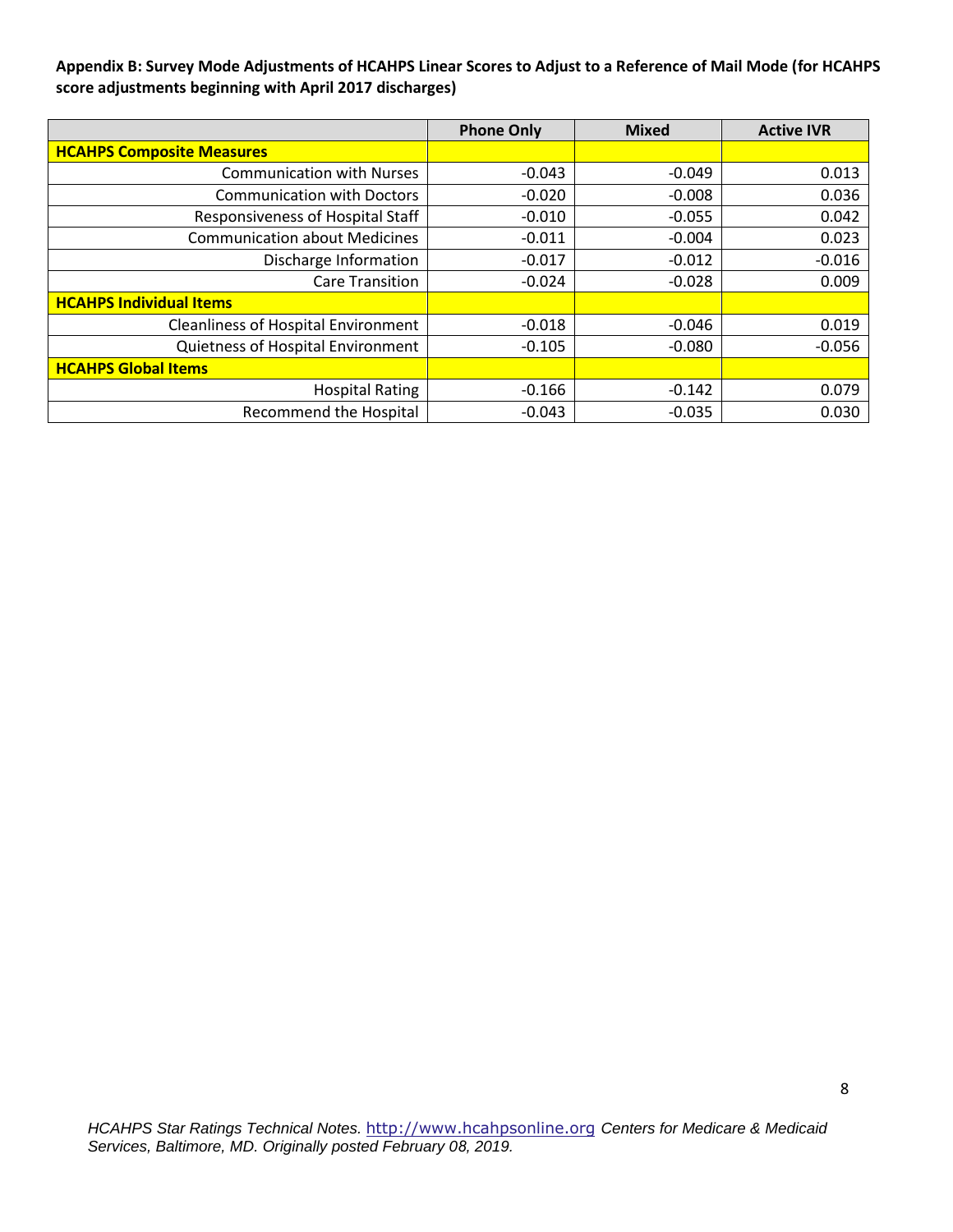**Appendix B: Survey Mode Adjustments of HCAHPS Linear Scores to Adjust to a Reference of Mail Mode (for HCAHPS score adjustments beginning with April 2017 discharges)** 

|                                            | <b>Phone Only</b> | <b>Mixed</b> | <b>Active IVR</b> |
|--------------------------------------------|-------------------|--------------|-------------------|
| <b>HCAHPS Composite Measures</b>           |                   |              |                   |
| <b>Communication with Nurses</b>           | $-0.043$          | $-0.049$     | 0.013             |
| <b>Communication with Doctors</b>          | $-0.020$          | $-0.008$     | 0.036             |
| Responsiveness of Hospital Staff           | $-0.010$          | $-0.055$     | 0.042             |
| <b>Communication about Medicines</b>       | $-0.011$          | $-0.004$     | 0.023             |
| Discharge Information                      | $-0.017$          | $-0.012$     | $-0.016$          |
| <b>Care Transition</b>                     | $-0.024$          | $-0.028$     | 0.009             |
| <b>HCAHPS Individual Items</b>             |                   |              |                   |
| <b>Cleanliness of Hospital Environment</b> | $-0.018$          | $-0.046$     | 0.019             |
| Quietness of Hospital Environment          | $-0.105$          | $-0.080$     | $-0.056$          |
| <b>HCAHPS Global Items</b>                 |                   |              |                   |
| <b>Hospital Rating</b>                     | $-0.166$          | $-0.142$     | 0.079             |
| <b>Recommend the Hospital</b>              | $-0.043$          | $-0.035$     | 0.030             |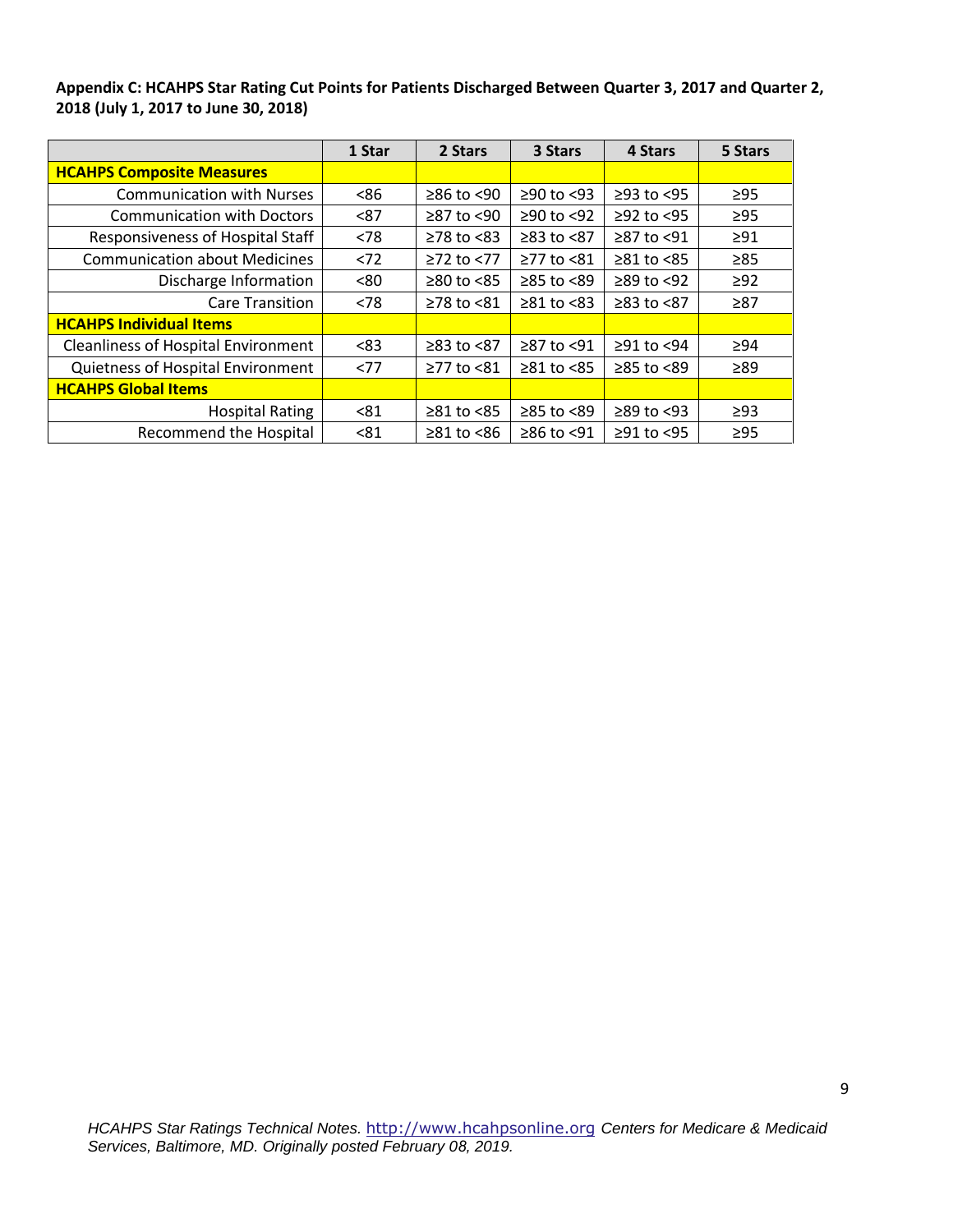**Appendix C: HCAHPS Star Rating Cut Points for Patients Discharged Between Quarter 3, 2017 and Quarter 2, 2018 (July 1, 2017 to June 30, 2018)**

|                                            | 1 Star | 2 Stars                | 3 Stars          | 4 Stars          | 5 Stars   |
|--------------------------------------------|--------|------------------------|------------------|------------------|-----------|
| <b>HCAHPS Composite Measures</b>           |        |                        |                  |                  |           |
| <b>Communication with Nurses</b>           | <86    | $≥86$ to $≤90$         | $≥90$ to <93     | $≥93$ to $<95$   | $\geq$ 95 |
| <b>Communication with Doctors</b>          | < 87   | ≥87 to <90             | ≥90 to <92       | $≥92$ to <95     | $\geq$ 95 |
| Responsiveness of Hospital Staff           | < 78   | $≥78$ to $≤83$         | $≥83$ to $≤87$   | $≥87$ to <91     | $\geq$ 91 |
| <b>Communication about Medicines</b>       | < 72   | $≥72$ to $≤77$         | $≥77$ to $≤81$   | $≥81$ to $≤85$   | $\geq 85$ |
| Discharge Information                      | <80    | $\geq 80$ to $\leq 85$ | ≥85 to <89       | $\geq$ 89 to <92 | $\geq$ 92 |
| <b>Care Transition</b>                     | < 78   | $≥78$ to $≤81$         | $\geq 81$ to <83 | $≥83$ to $≤87$   | $\geq 87$ |
| <b>HCAHPS Individual Items</b>             |        |                        |                  |                  |           |
| <b>Cleanliness of Hospital Environment</b> | <83    | $≥83$ to $<87$         | ≥87 to <91       | $≥91$ to <94     | >94       |
| Quietness of Hospital Environment          | <77    | ≥77 to <81             | $\geq 81$ to <85 | $\geq 85$ to <89 | $\geq 89$ |
| <b>HCAHPS Global Items</b>                 |        |                        |                  |                  |           |
| <b>Hospital Rating</b>                     | < 81   | $\geq 81$ to <85       | ≥85 to <89       | $\geq$ 89 to <93 | $\geq$ 93 |
| <b>Recommend the Hospital</b>              | < 81   | $\geq 81$ to $\leq 86$ | ≥86 to <91       | $≥91$ to <95     | $\geq$ 95 |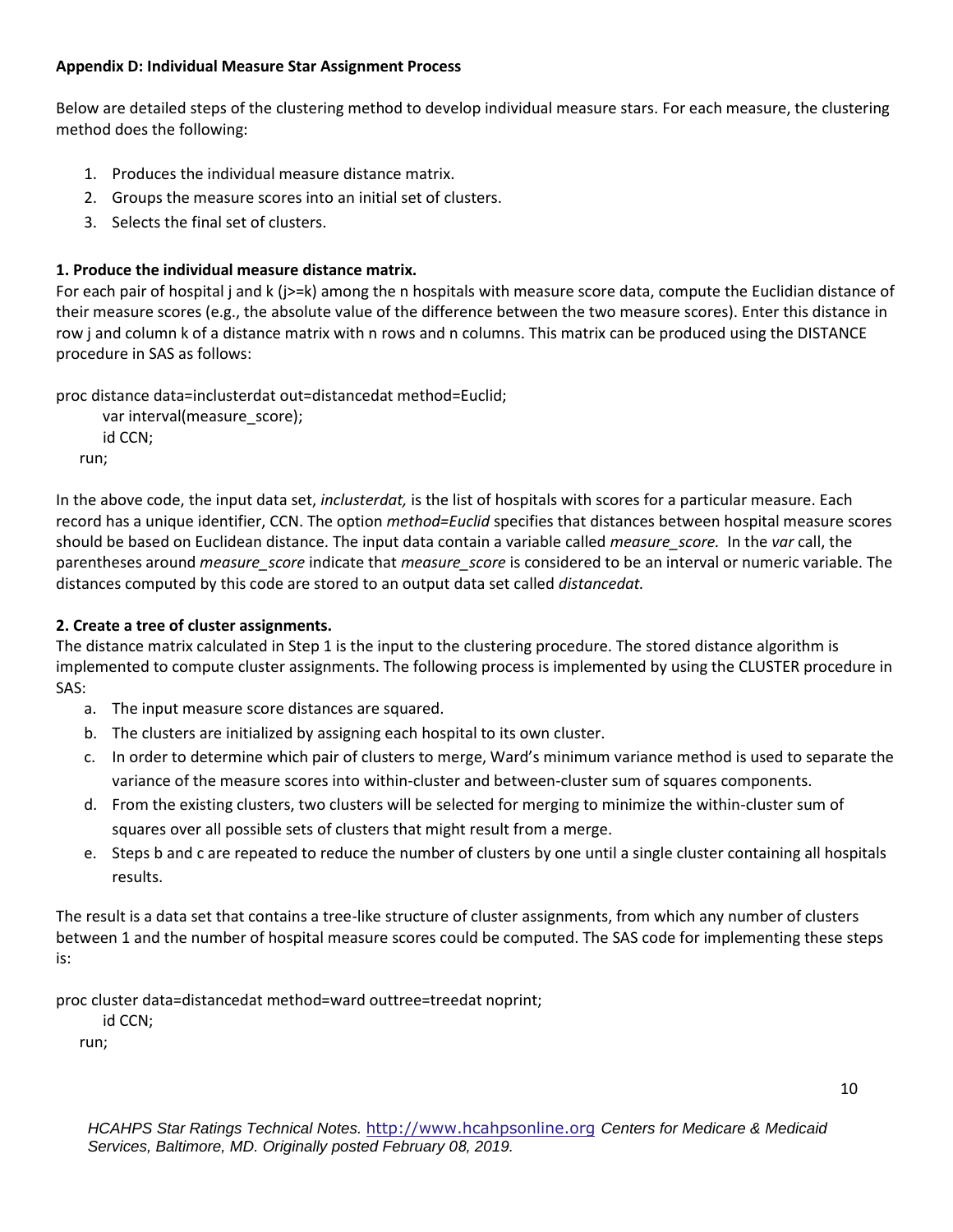## **Appendix D: Individual Measure Star Assignment Process**

Below are detailed steps of the clustering method to develop individual measure stars. For each measure, the clustering method does the following:

- 1. Produces the individual measure distance matrix.
- 2. Groups the measure scores into an initial set of clusters.
- 3. Selects the final set of clusters.

## **1. Produce the individual measure distance matrix.**

For each pair of hospital j and k (j>=k) among the n hospitals with measure score data, compute the Euclidian distance of their measure scores (e.g., the absolute value of the difference between the two measure scores). Enter this distance in row j and column k of a distance matrix with n rows and n columns. This matrix can be produced using the DISTANCE procedure in SAS as follows:

proc distance data=inclusterdat out=distancedat method=Euclid;

```
var interval(measure_score);
   id CCN;
run;
```
In the above code, the input data set, *inclusterdat,* is the list of hospitals with scores for a particular measure. Each record has a unique identifier, CCN. The option *method=Euclid* specifies that distances between hospital measure scores should be based on Euclidean distance. The input data contain a variable called *measure\_score.* In the *var* call, the parentheses around *measure\_score* indicate that *measure\_score* is considered to be an interval or numeric variable. The distances computed by this code are stored to an output data set called *distancedat.* 

## **2. Create a tree of cluster assignments.**

The distance matrix calculated in Step 1 is the input to the clustering procedure. The stored distance algorithm is implemented to compute cluster assignments. The following process is implemented by using the CLUSTER procedure in SAS:

- a. The input measure score distances are squared.
- b. The clusters are initialized by assigning each hospital to its own cluster.
- c. In order to determine which pair of clusters to merge, Ward's minimum variance method is used to separate the variance of the measure scores into within-cluster and between-cluster sum of squares components.
- d. From the existing clusters, two clusters will be selected for merging to minimize the within-cluster sum of squares over all possible sets of clusters that might result from a merge.
- e. Steps b and c are repeated to reduce the number of clusters by one until a single cluster containing all hospitals results.

The result is a data set that contains a tree-like structure of cluster assignments, from which any number of clusters between 1 and the number of hospital measure scores could be computed. The SAS code for implementing these steps is:

proc cluster data=distancedat method=ward outtree=treedat noprint;

id CCN;

run;